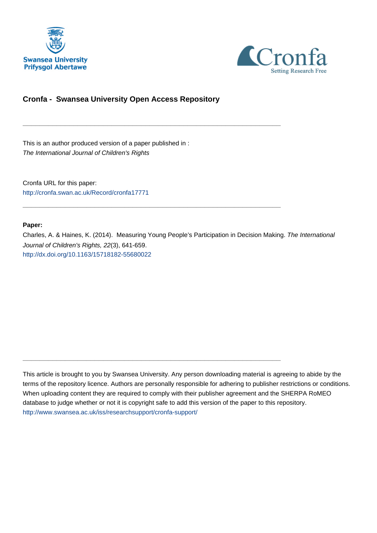



### **Cronfa - Swansea University Open Access Repository**

\_\_\_\_\_\_\_\_\_\_\_\_\_\_\_\_\_\_\_\_\_\_\_\_\_\_\_\_\_\_\_\_\_\_\_\_\_\_\_\_\_\_\_\_\_\_\_\_\_\_\_\_\_\_\_\_\_\_\_\_\_

\_\_\_\_\_\_\_\_\_\_\_\_\_\_\_\_\_\_\_\_\_\_\_\_\_\_\_\_\_\_\_\_\_\_\_\_\_\_\_\_\_\_\_\_\_\_\_\_\_\_\_\_\_\_\_\_\_\_\_\_\_

 $\_$  , and the set of the set of the set of the set of the set of the set of the set of the set of the set of the set of the set of the set of the set of the set of the set of the set of the set of the set of the set of th

This is an author produced version of a paper published in : The International Journal of Children's Rights

Cronfa URL for this paper: <http://cronfa.swan.ac.uk/Record/cronfa17771>

#### **Paper:**

Charles, A. & Haines, K. (2014). Measuring Young People's Participation in Decision Making. The International Journal of Children's Rights, 22(3), 641-659. <http://dx.doi.org/10.1163/15718182-55680022>

This article is brought to you by Swansea University. Any person downloading material is agreeing to abide by the terms of the repository licence. Authors are personally responsible for adhering to publisher restrictions or conditions. When uploading content they are required to comply with their publisher agreement and the SHERPA RoMEO database to judge whether or not it is copyright safe to add this version of the paper to this repository. [http://www.swansea.ac.uk/iss/researchsupport/cronfa-support/](http://www.swansea.ac.uk/iss/researchsupport/cronfa-support/ )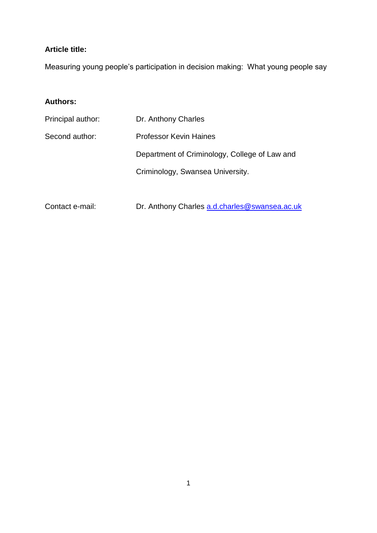## **Article title:**

Measuring young people's participation in decision making: What young people say

## **Authors:**

| Principal author: | Dr. Anthony Charles                           |
|-------------------|-----------------------------------------------|
| Second author:    | <b>Professor Kevin Haines</b>                 |
|                   | Department of Criminology, College of Law and |
|                   | Criminology, Swansea University.              |

Contact e-mail: Dr. Anthony Charles a.d.charles@swansea.ac.uk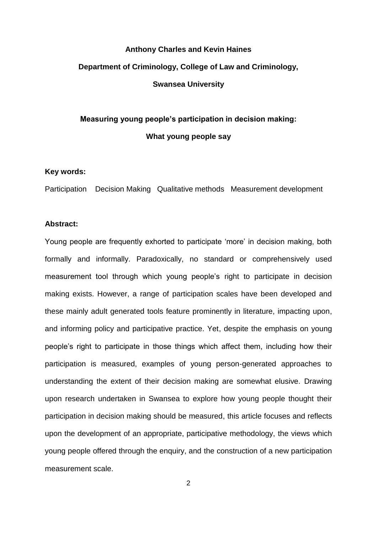# **Anthony Charles and Kevin Haines Department of Criminology, College of Law and Criminology, Swansea University**

## **Measuring young people's participation in decision making: What young people say**

#### **Key words:**

Participation Decision Making Qualitative methods Measurement development

#### **Abstract:**

Young people are frequently exhorted to participate 'more' in decision making, both formally and informally. Paradoxically, no standard or comprehensively used measurement tool through which young people's right to participate in decision making exists. However, a range of participation scales have been developed and these mainly adult generated tools feature prominently in literature, impacting upon, and informing policy and participative practice. Yet, despite the emphasis on young people's right to participate in those things which affect them, including how their participation is measured, examples of young person-generated approaches to understanding the extent of their decision making are somewhat elusive. Drawing upon research undertaken in Swansea to explore how young people thought their participation in decision making should be measured, this article focuses and reflects upon the development of an appropriate, participative methodology, the views which young people offered through the enquiry, and the construction of a new participation measurement scale.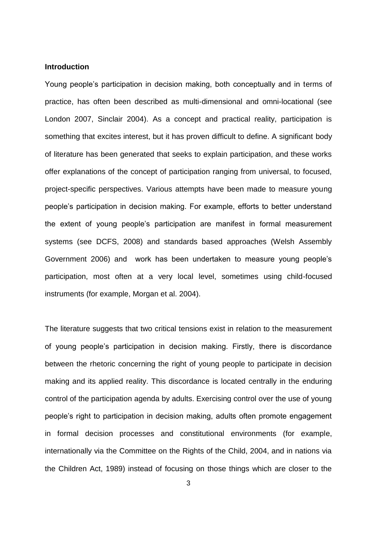#### **Introduction**

Young people's participation in decision making, both conceptually and in terms of practice, has often been described as multi-dimensional and omni-locational (see London 2007, Sinclair 2004). As a concept and practical reality, participation is something that excites interest, but it has proven difficult to define. A significant body of literature has been generated that seeks to explain participation, and these works offer explanations of the concept of participation ranging from universal, to focused, project-specific perspectives. Various attempts have been made to measure young people's participation in decision making. For example, efforts to better understand the extent of young people's participation are manifest in formal measurement systems (see DCFS, 2008) and standards based approaches (Welsh Assembly Government 2006) and work has been undertaken to measure young people's participation, most often at a very local level, sometimes using child-focused instruments (for example, Morgan et al. 2004).

The literature suggests that two critical tensions exist in relation to the measurement of young people's participation in decision making. Firstly, there is discordance between the rhetoric concerning the right of young people to participate in decision making and its applied reality. This discordance is located centrally in the enduring control of the participation agenda by adults. Exercising control over the use of young people's right to participation in decision making, adults often promote engagement in formal decision processes and constitutional environments (for example, internationally via the Committee on the Rights of the Child, 2004, and in nations via the Children Act, 1989) instead of focusing on those things which are closer to the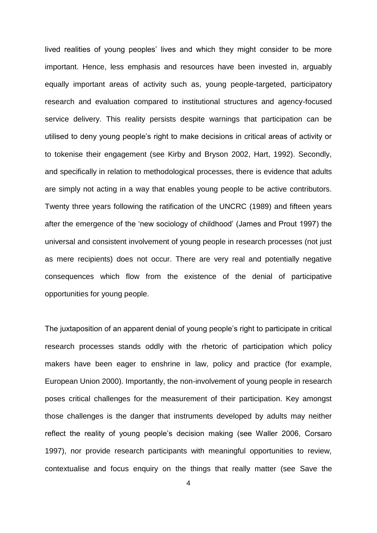lived realities of young peoples' lives and which they might consider to be more important. Hence, less emphasis and resources have been invested in, arguably equally important areas of activity such as, young people-targeted, participatory research and evaluation compared to institutional structures and agency-focused service delivery. This reality persists despite warnings that participation can be utilised to deny young people's right to make decisions in critical areas of activity or to tokenise their engagement (see Kirby and Bryson 2002, Hart, 1992). Secondly, and specifically in relation to methodological processes, there is evidence that adults are simply not acting in a way that enables young people to be active contributors. Twenty three years following the ratification of the UNCRC (1989) and fifteen years after the emergence of the 'new sociology of childhood' (James and Prout 1997) the universal and consistent involvement of young people in research processes (not just as mere recipients) does not occur. There are very real and potentially negative consequences which flow from the existence of the denial of participative opportunities for young people.

The juxtaposition of an apparent denial of young people's right to participate in critical research processes stands oddly with the rhetoric of participation which policy makers have been eager to enshrine in law, policy and practice (for example, European Union 2000). Importantly, the non-involvement of young people in research poses critical challenges for the measurement of their participation. Key amongst those challenges is the danger that instruments developed by adults may neither reflect the reality of young people's decision making (see Waller 2006, Corsaro 1997), nor provide research participants with meaningful opportunities to review, contextualise and focus enquiry on the things that really matter (see Save the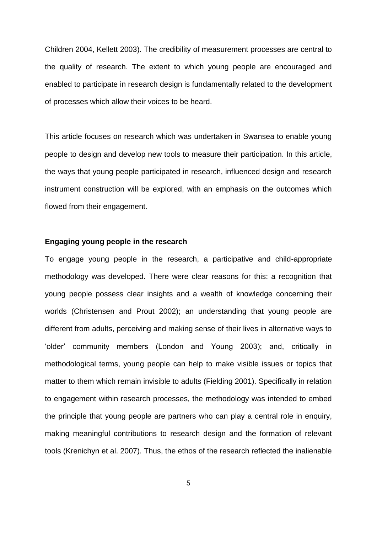Children 2004, Kellett 2003). The credibility of measurement processes are central to the quality of research. The extent to which young people are encouraged and enabled to participate in research design is fundamentally related to the development of processes which allow their voices to be heard.

This article focuses on research which was undertaken in Swansea to enable young people to design and develop new tools to measure their participation. In this article, the ways that young people participated in research, influenced design and research instrument construction will be explored, with an emphasis on the outcomes which flowed from their engagement.

#### **Engaging young people in the research**

To engage young people in the research, a participative and child-appropriate methodology was developed. There were clear reasons for this: a recognition that young people possess clear insights and a wealth of knowledge concerning their worlds (Christensen and Prout 2002); an understanding that young people are different from adults, perceiving and making sense of their lives in alternative ways to 'older' community members (London and Young 2003); and, critically in methodological terms, young people can help to make visible issues or topics that matter to them which remain invisible to adults (Fielding 2001). Specifically in relation to engagement within research processes, the methodology was intended to embed the principle that young people are partners who can play a central role in enquiry, making meaningful contributions to research design and the formation of relevant tools (Krenichyn et al. 2007). Thus, the ethos of the research reflected the inalienable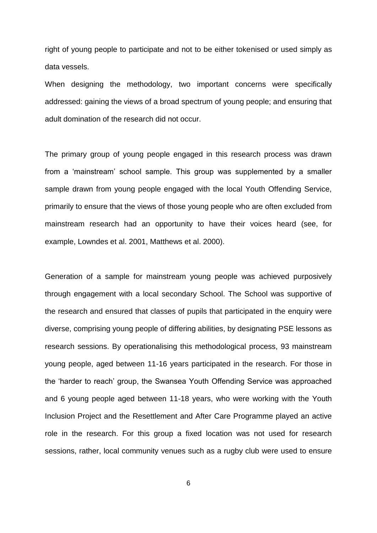right of young people to participate and not to be either tokenised or used simply as data vessels.

When designing the methodology, two important concerns were specifically addressed: gaining the views of a broad spectrum of young people; and ensuring that adult domination of the research did not occur.

The primary group of young people engaged in this research process was drawn from a 'mainstream' school sample. This group was supplemented by a smaller sample drawn from young people engaged with the local Youth Offending Service, primarily to ensure that the views of those young people who are often excluded from mainstream research had an opportunity to have their voices heard (see, for example, Lowndes et al. 2001, Matthews et al. 2000).

Generation of a sample for mainstream young people was achieved purposively through engagement with a local secondary School. The School was supportive of the research and ensured that classes of pupils that participated in the enquiry were diverse, comprising young people of differing abilities, by designating PSE lessons as research sessions. By operationalising this methodological process, 93 mainstream young people, aged between 11-16 years participated in the research. For those in the 'harder to reach' group, the Swansea Youth Offending Service was approached and 6 young people aged between 11-18 years, who were working with the Youth Inclusion Project and the Resettlement and After Care Programme played an active role in the research. For this group a fixed location was not used for research sessions, rather, local community venues such as a rugby club were used to ensure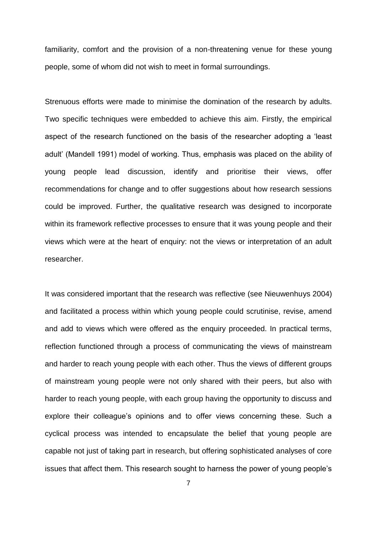familiarity, comfort and the provision of a non-threatening venue for these young people, some of whom did not wish to meet in formal surroundings.

Strenuous efforts were made to minimise the domination of the research by adults. Two specific techniques were embedded to achieve this aim. Firstly, the empirical aspect of the research functioned on the basis of the researcher adopting a 'least adult' (Mandell 1991) model of working. Thus, emphasis was placed on the ability of young people lead discussion, identify and prioritise their views, offer recommendations for change and to offer suggestions about how research sessions could be improved. Further, the qualitative research was designed to incorporate within its framework reflective processes to ensure that it was young people and their views which were at the heart of enquiry: not the views or interpretation of an adult researcher.

It was considered important that the research was reflective (see Nieuwenhuys 2004) and facilitated a process within which young people could scrutinise, revise, amend and add to views which were offered as the enquiry proceeded. In practical terms, reflection functioned through a process of communicating the views of mainstream and harder to reach young people with each other. Thus the views of different groups of mainstream young people were not only shared with their peers, but also with harder to reach young people, with each group having the opportunity to discuss and explore their colleague's opinions and to offer views concerning these. Such a cyclical process was intended to encapsulate the belief that young people are capable not just of taking part in research, but offering sophisticated analyses of core issues that affect them. This research sought to harness the power of young people's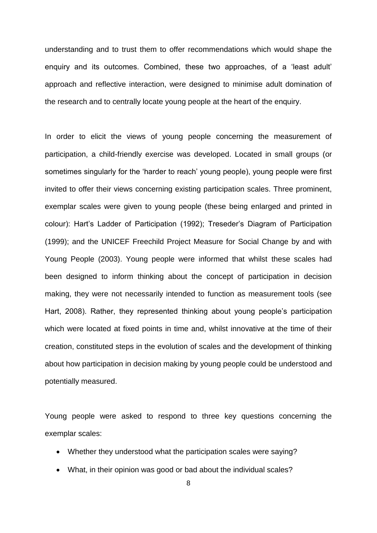understanding and to trust them to offer recommendations which would shape the enquiry and its outcomes. Combined, these two approaches, of a 'least adult' approach and reflective interaction, were designed to minimise adult domination of the research and to centrally locate young people at the heart of the enquiry.

In order to elicit the views of young people concerning the measurement of participation, a child-friendly exercise was developed. Located in small groups (or sometimes singularly for the 'harder to reach' young people), young people were first invited to offer their views concerning existing participation scales. Three prominent, exemplar scales were given to young people (these being enlarged and printed in colour): Hart's Ladder of Participation (1992); Treseder's Diagram of Participation (1999); and the UNICEF Freechild Project Measure for Social Change by and with Young People (2003). Young people were informed that whilst these scales had been designed to inform thinking about the concept of participation in decision making, they were not necessarily intended to function as measurement tools (see Hart, 2008). Rather, they represented thinking about young people's participation which were located at fixed points in time and, whilst innovative at the time of their creation, constituted steps in the evolution of scales and the development of thinking about how participation in decision making by young people could be understood and potentially measured.

Young people were asked to respond to three key questions concerning the exemplar scales:

- Whether they understood what the participation scales were saying?
- What, in their opinion was good or bad about the individual scales?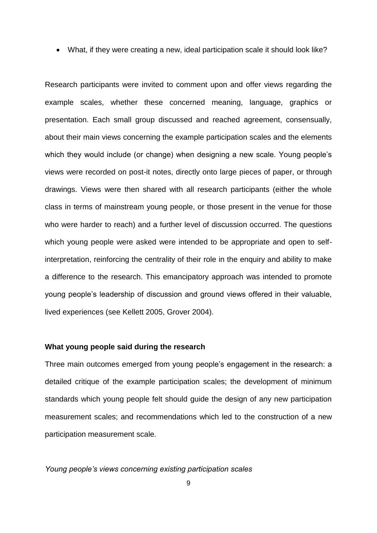What, if they were creating a new, ideal participation scale it should look like?

Research participants were invited to comment upon and offer views regarding the example scales, whether these concerned meaning, language, graphics or presentation. Each small group discussed and reached agreement, consensually, about their main views concerning the example participation scales and the elements which they would include (or change) when designing a new scale. Young people's views were recorded on post-it notes, directly onto large pieces of paper, or through drawings. Views were then shared with all research participants (either the whole class in terms of mainstream young people, or those present in the venue for those who were harder to reach) and a further level of discussion occurred. The questions which young people were asked were intended to be appropriate and open to selfinterpretation, reinforcing the centrality of their role in the enquiry and ability to make a difference to the research. This emancipatory approach was intended to promote young people's leadership of discussion and ground views offered in their valuable, lived experiences (see Kellett 2005, Grover 2004).

#### **What young people said during the research**

Three main outcomes emerged from young people's engagement in the research: a detailed critique of the example participation scales; the development of minimum standards which young people felt should guide the design of any new participation measurement scales; and recommendations which led to the construction of a new participation measurement scale.

#### *Young people's views concerning existing participation scales*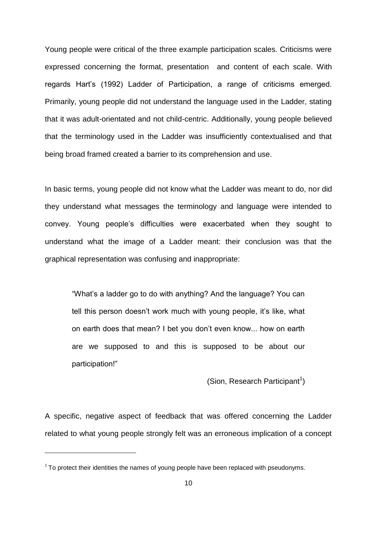Young people were critical of the three example participation scales. Criticisms were expressed concerning the format, presentation and content of each scale. With regards Hart's (1992) Ladder of Participation, a range of criticisms emerged. Primarily, young people did not understand the language used in the Ladder, stating that it was adult-orientated and not child-centric. Additionally, young people believed that the terminology used in the Ladder was insufficiently contextualised and that being broad framed created a barrier to its comprehension and use.

In basic terms, young people did not know what the Ladder was meant to do, nor did they understand what messages the terminology and language were intended to convey. Young people's difficulties were exacerbated when they sought to understand what the image of a Ladder meant: their conclusion was that the graphical representation was confusing and inappropriate:

"What's a ladder go to do with anything? And the language? You can tell this person doesn't work much with young people, it's like, what on earth does that mean? I bet you don't even know... how on earth are we supposed to and this is supposed to be about our participation!"

(Sion, Research Participant<sup>1</sup>)

A specific, negative aspect of feedback that was offered concerning the Ladder related to what young people strongly felt was an erroneous implication of a concept

 $\overline{\phantom{a}}$ 

 $1$  To protect their identities the names of young people have been replaced with pseudonyms.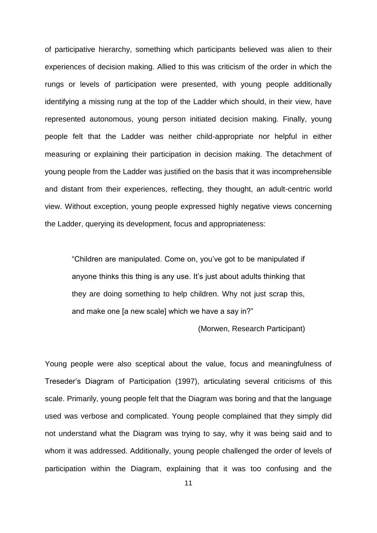of participative hierarchy, something which participants believed was alien to their experiences of decision making. Allied to this was criticism of the order in which the rungs or levels of participation were presented, with young people additionally identifying a missing rung at the top of the Ladder which should, in their view, have represented autonomous, young person initiated decision making. Finally, young people felt that the Ladder was neither child-appropriate nor helpful in either measuring or explaining their participation in decision making. The detachment of young people from the Ladder was justified on the basis that it was incomprehensible and distant from their experiences, reflecting, they thought, an adult-centric world view. Without exception, young people expressed highly negative views concerning the Ladder, querying its development, focus and appropriateness:

"Children are manipulated. Come on, you've got to be manipulated if anyone thinks this thing is any use. It's just about adults thinking that they are doing something to help children. Why not just scrap this, and make one [a new scale] which we have a say in?"

(Morwen, Research Participant)

Young people were also sceptical about the value, focus and meaningfulness of Treseder's Diagram of Participation (1997), articulating several criticisms of this scale. Primarily, young people felt that the Diagram was boring and that the language used was verbose and complicated. Young people complained that they simply did not understand what the Diagram was trying to say, why it was being said and to whom it was addressed. Additionally, young people challenged the order of levels of participation within the Diagram, explaining that it was too confusing and the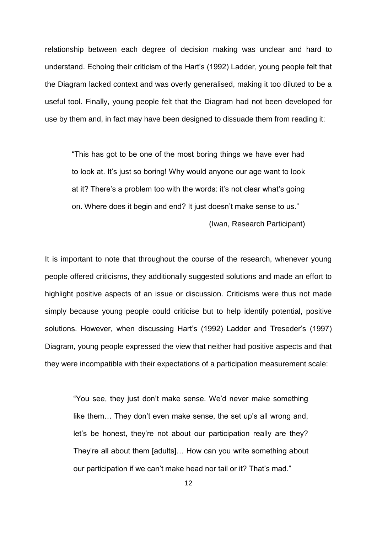relationship between each degree of decision making was unclear and hard to understand. Echoing their criticism of the Hart's (1992) Ladder, young people felt that the Diagram lacked context and was overly generalised, making it too diluted to be a useful tool. Finally, young people felt that the Diagram had not been developed for use by them and, in fact may have been designed to dissuade them from reading it:

"This has got to be one of the most boring things we have ever had to look at. It's just so boring! Why would anyone our age want to look at it? There's a problem too with the words: it's not clear what's going on. Where does it begin and end? It just doesn't make sense to us."

(Iwan, Research Participant)

It is important to note that throughout the course of the research, whenever young people offered criticisms, they additionally suggested solutions and made an effort to highlight positive aspects of an issue or discussion. Criticisms were thus not made simply because young people could criticise but to help identify potential, positive solutions. However, when discussing Hart's (1992) Ladder and Treseder's (1997) Diagram, young people expressed the view that neither had positive aspects and that they were incompatible with their expectations of a participation measurement scale:

"You see, they just don't make sense. We'd never make something like them… They don't even make sense, the set up's all wrong and, let's be honest, they're not about our participation really are they? They're all about them [adults]… How can you write something about our participation if we can't make head nor tail or it? That's mad."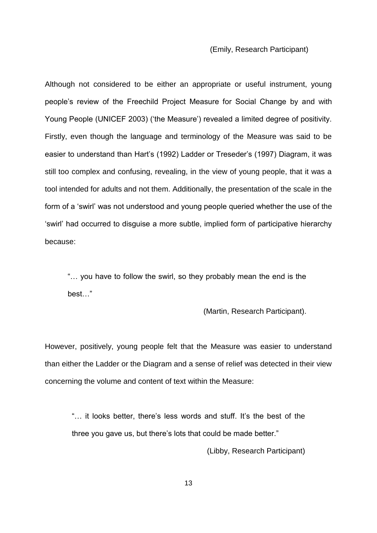#### (Emily, Research Participant)

Although not considered to be either an appropriate or useful instrument, young people's review of the Freechild Project Measure for Social Change by and with Young People (UNICEF 2003) ('the Measure') revealed a limited degree of positivity. Firstly, even though the language and terminology of the Measure was said to be easier to understand than Hart's (1992) Ladder or Treseder's (1997) Diagram, it was still too complex and confusing, revealing, in the view of young people, that it was a tool intended for adults and not them. Additionally, the presentation of the scale in the form of a 'swirl' was not understood and young people queried whether the use of the 'swirl' had occurred to disguise a more subtle, implied form of participative hierarchy because:

"… you have to follow the swirl, so they probably mean the end is the best…"

(Martin, Research Participant).

However, positively, young people felt that the Measure was easier to understand than either the Ladder or the Diagram and a sense of relief was detected in their view concerning the volume and content of text within the Measure:

"… it looks better, there's less words and stuff. It's the best of the three you gave us, but there's lots that could be made better."

(Libby, Research Participant)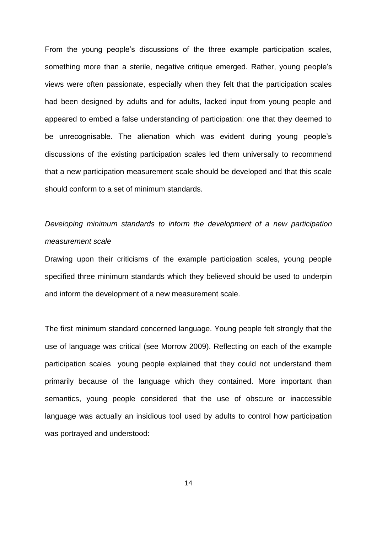From the young people's discussions of the three example participation scales, something more than a sterile, negative critique emerged. Rather, young people's views were often passionate, especially when they felt that the participation scales had been designed by adults and for adults, lacked input from young people and appeared to embed a false understanding of participation: one that they deemed to be unrecognisable. The alienation which was evident during young people's discussions of the existing participation scales led them universally to recommend that a new participation measurement scale should be developed and that this scale should conform to a set of minimum standards.

## *Developing minimum standards to inform the development of a new participation measurement scale*

Drawing upon their criticisms of the example participation scales, young people specified three minimum standards which they believed should be used to underpin and inform the development of a new measurement scale.

The first minimum standard concerned language. Young people felt strongly that the use of language was critical (see Morrow 2009). Reflecting on each of the example participation scales young people explained that they could not understand them primarily because of the language which they contained. More important than semantics, young people considered that the use of obscure or inaccessible language was actually an insidious tool used by adults to control how participation was portrayed and understood: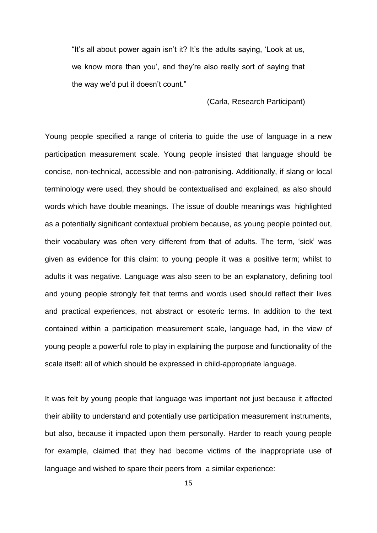"It's all about power again isn't it? It's the adults saying, 'Look at us, we know more than you', and they're also really sort of saying that the way we'd put it doesn't count."

(Carla, Research Participant)

Young people specified a range of criteria to guide the use of language in a new participation measurement scale. Young people insisted that language should be concise, non-technical, accessible and non-patronising. Additionally, if slang or local terminology were used, they should be contextualised and explained, as also should words which have double meanings. The issue of double meanings was highlighted as a potentially significant contextual problem because, as young people pointed out, their vocabulary was often very different from that of adults. The term, 'sick' was given as evidence for this claim: to young people it was a positive term; whilst to adults it was negative. Language was also seen to be an explanatory, defining tool and young people strongly felt that terms and words used should reflect their lives and practical experiences, not abstract or esoteric terms. In addition to the text contained within a participation measurement scale, language had, in the view of young people a powerful role to play in explaining the purpose and functionality of the scale itself: all of which should be expressed in child-appropriate language.

It was felt by young people that language was important not just because it affected their ability to understand and potentially use participation measurement instruments, but also, because it impacted upon them personally. Harder to reach young people for example, claimed that they had become victims of the inappropriate use of language and wished to spare their peers from a similar experience: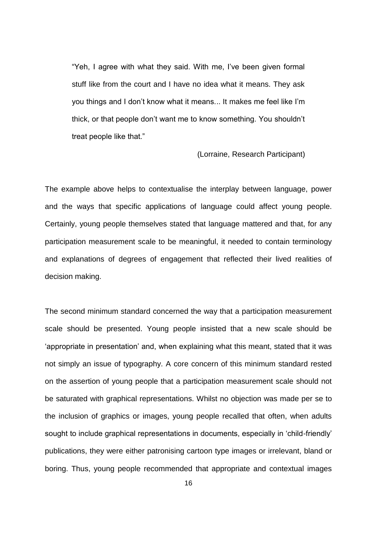"Yeh, I agree with what they said. With me, I've been given formal stuff like from the court and I have no idea what it means. They ask you things and I don't know what it means... It makes me feel like I'm thick, or that people don't want me to know something. You shouldn't treat people like that."

(Lorraine, Research Participant)

The example above helps to contextualise the interplay between language, power and the ways that specific applications of language could affect young people. Certainly, young people themselves stated that language mattered and that, for any participation measurement scale to be meaningful, it needed to contain terminology and explanations of degrees of engagement that reflected their lived realities of decision making.

The second minimum standard concerned the way that a participation measurement scale should be presented. Young people insisted that a new scale should be 'appropriate in presentation' and, when explaining what this meant, stated that it was not simply an issue of typography. A core concern of this minimum standard rested on the assertion of young people that a participation measurement scale should not be saturated with graphical representations. Whilst no objection was made per se to the inclusion of graphics or images, young people recalled that often, when adults sought to include graphical representations in documents, especially in 'child-friendly' publications, they were either patronising cartoon type images or irrelevant, bland or boring. Thus, young people recommended that appropriate and contextual images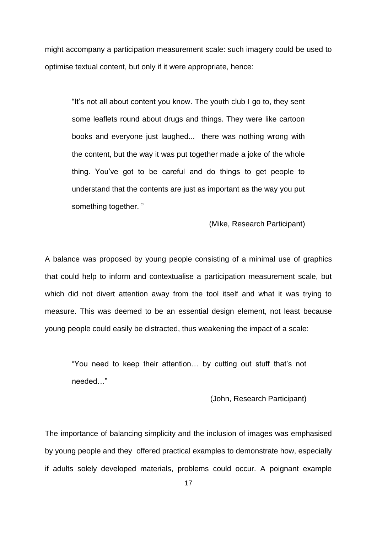might accompany a participation measurement scale: such imagery could be used to optimise textual content, but only if it were appropriate, hence:

"It's not all about content you know. The youth club I go to, they sent some leaflets round about drugs and things. They were like cartoon books and everyone just laughed... there was nothing wrong with the content, but the way it was put together made a joke of the whole thing. You've got to be careful and do things to get people to understand that the contents are just as important as the way you put something together. "

(Mike, Research Participant)

A balance was proposed by young people consisting of a minimal use of graphics that could help to inform and contextualise a participation measurement scale, but which did not divert attention away from the tool itself and what it was trying to measure. This was deemed to be an essential design element, not least because young people could easily be distracted, thus weakening the impact of a scale:

"You need to keep their attention… by cutting out stuff that's not needed…"

(John, Research Participant)

The importance of balancing simplicity and the inclusion of images was emphasised by young people and they offered practical examples to demonstrate how, especially if adults solely developed materials, problems could occur. A poignant example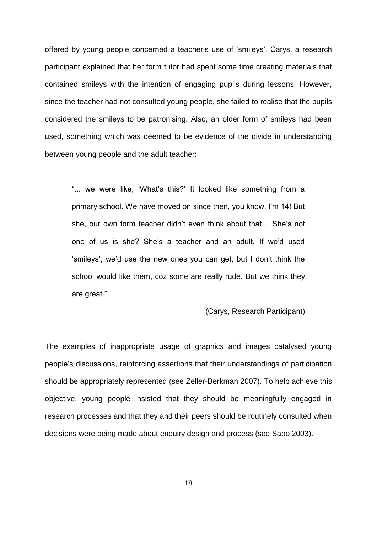offered by young people concerned a teacher's use of 'smileys'. Carys, a research participant explained that her form tutor had spent some time creating materials that contained smileys with the intention of engaging pupils during lessons. However, since the teacher had not consulted young people, she failed to realise that the pupils considered the smileys to be patronising. Also, an older form of smileys had been used, something which was deemed to be evidence of the divide in understanding between young people and the adult teacher:

"... we were like, 'What's this?' It looked like something from a primary school. We have moved on since then, you know, I'm 14! But she, our own form teacher didn't even think about that… She's not one of us is she? She's a teacher and an adult. If we'd used 'smileys', we'd use the new ones you can get, but I don't think the school would like them, coz some are really rude. But we think they are great."

(Carys, Research Participant)

The examples of inappropriate usage of graphics and images catalysed young people's discussions, reinforcing assertions that their understandings of participation should be appropriately represented (see Zeller-Berkman 2007). To help achieve this objective, young people insisted that they should be meaningfully engaged in research processes and that they and their peers should be routinely consulted when decisions were being made about enquiry design and process (see Sabo 2003).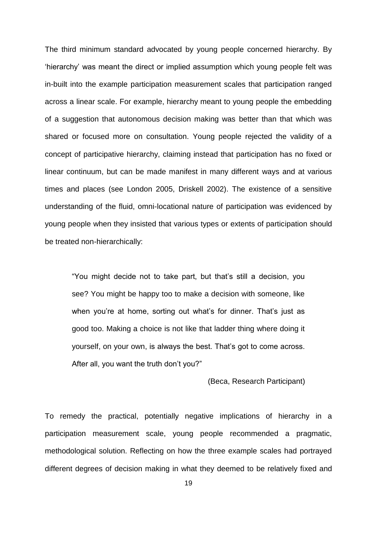The third minimum standard advocated by young people concerned hierarchy. By 'hierarchy' was meant the direct or implied assumption which young people felt was in-built into the example participation measurement scales that participation ranged across a linear scale. For example, hierarchy meant to young people the embedding of a suggestion that autonomous decision making was better than that which was shared or focused more on consultation. Young people rejected the validity of a concept of participative hierarchy, claiming instead that participation has no fixed or linear continuum, but can be made manifest in many different ways and at various times and places (see London 2005, Driskell 2002). The existence of a sensitive understanding of the fluid, omni-locational nature of participation was evidenced by young people when they insisted that various types or extents of participation should be treated non-hierarchically:

"You might decide not to take part, but that's still a decision, you see? You might be happy too to make a decision with someone, like when you're at home, sorting out what's for dinner. That's just as good too. Making a choice is not like that ladder thing where doing it yourself, on your own, is always the best. That's got to come across. After all, you want the truth don't you?"

#### (Beca, Research Participant)

To remedy the practical, potentially negative implications of hierarchy in a participation measurement scale, young people recommended a pragmatic, methodological solution. Reflecting on how the three example scales had portrayed different degrees of decision making in what they deemed to be relatively fixed and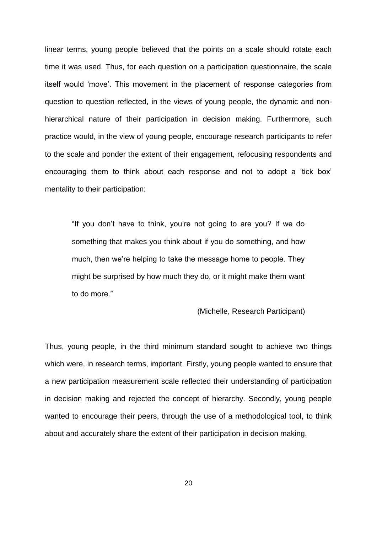linear terms, young people believed that the points on a scale should rotate each time it was used. Thus, for each question on a participation questionnaire, the scale itself would 'move'. This movement in the placement of response categories from question to question reflected, in the views of young people, the dynamic and nonhierarchical nature of their participation in decision making. Furthermore, such practice would, in the view of young people, encourage research participants to refer to the scale and ponder the extent of their engagement, refocusing respondents and encouraging them to think about each response and not to adopt a 'tick box' mentality to their participation:

"If you don't have to think, you're not going to are you? If we do something that makes you think about if you do something, and how much, then we're helping to take the message home to people. They might be surprised by how much they do, or it might make them want to do more."

(Michelle, Research Participant)

Thus, young people, in the third minimum standard sought to achieve two things which were, in research terms, important. Firstly, young people wanted to ensure that a new participation measurement scale reflected their understanding of participation in decision making and rejected the concept of hierarchy. Secondly, young people wanted to encourage their peers, through the use of a methodological tool, to think about and accurately share the extent of their participation in decision making.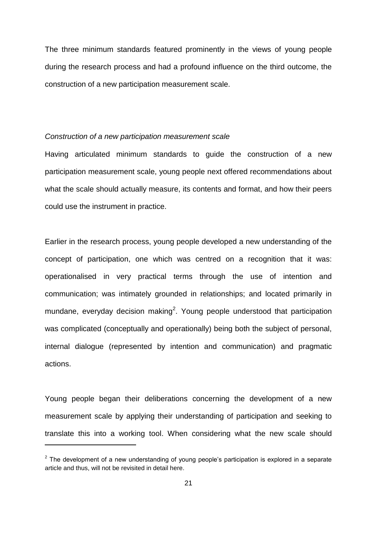The three minimum standards featured prominently in the views of young people during the research process and had a profound influence on the third outcome, the construction of a new participation measurement scale.

#### *Construction of a new participation measurement scale*

Having articulated minimum standards to guide the construction of a new participation measurement scale, young people next offered recommendations about what the scale should actually measure, its contents and format, and how their peers could use the instrument in practice.

Earlier in the research process, young people developed a new understanding of the concept of participation, one which was centred on a recognition that it was: operationalised in very practical terms through the use of intention and communication; was intimately grounded in relationships; and located primarily in mundane, everyday decision making<sup>2</sup>. Young people understood that participation was complicated (conceptually and operationally) being both the subject of personal, internal dialogue (represented by intention and communication) and pragmatic actions.

Young people began their deliberations concerning the development of a new measurement scale by applying their understanding of participation and seeking to translate this into a working tool. When considering what the new scale should

l

 $2$  The development of a new understanding of young people's participation is explored in a separate article and thus, will not be revisited in detail here.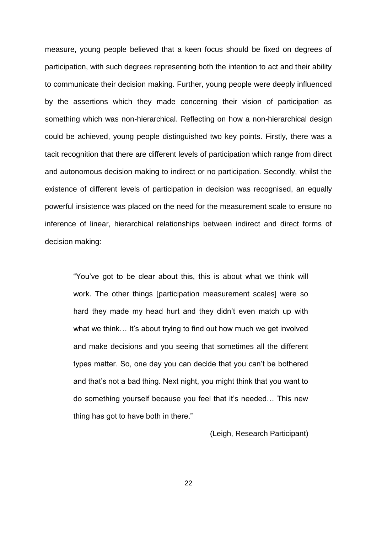measure, young people believed that a keen focus should be fixed on degrees of participation, with such degrees representing both the intention to act and their ability to communicate their decision making. Further, young people were deeply influenced by the assertions which they made concerning their vision of participation as something which was non-hierarchical. Reflecting on how a non-hierarchical design could be achieved, young people distinguished two key points. Firstly, there was a tacit recognition that there are different levels of participation which range from direct and autonomous decision making to indirect or no participation. Secondly, whilst the existence of different levels of participation in decision was recognised, an equally powerful insistence was placed on the need for the measurement scale to ensure no inference of linear, hierarchical relationships between indirect and direct forms of decision making:

"You've got to be clear about this, this is about what we think will work. The other things [participation measurement scales] were so hard they made my head hurt and they didn't even match up with what we think... It's about trying to find out how much we get involved and make decisions and you seeing that sometimes all the different types matter. So, one day you can decide that you can't be bothered and that's not a bad thing. Next night, you might think that you want to do something yourself because you feel that it's needed… This new thing has got to have both in there."

(Leigh, Research Participant)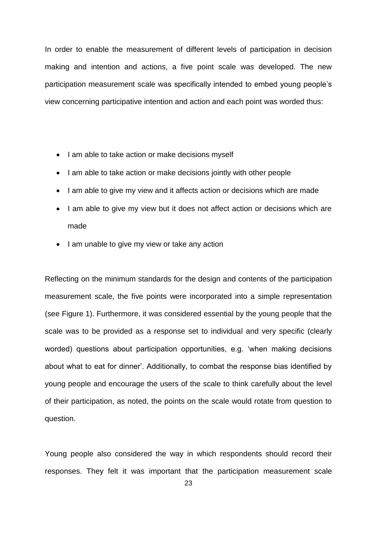In order to enable the measurement of different levels of participation in decision making and intention and actions, a five point scale was developed. The new participation measurement scale was specifically intended to embed young people's view concerning participative intention and action and each point was worded thus:

- I am able to take action or make decisions myself
- I am able to take action or make decisions jointly with other people
- I am able to give my view and it affects action or decisions which are made
- I am able to give my view but it does not affect action or decisions which are made
- I am unable to give my view or take any action

Reflecting on the minimum standards for the design and contents of the participation measurement scale, the five points were incorporated into a simple representation (see Figure 1). Furthermore, it was considered essential by the young people that the scale was to be provided as a response set to individual and very specific (clearly worded) questions about participation opportunities, e.g. 'when making decisions about what to eat for dinner'. Additionally, to combat the response bias identified by young people and encourage the users of the scale to think carefully about the level of their participation, as noted, the points on the scale would rotate from question to question.

Young people also considered the way in which respondents should record their responses. They felt it was important that the participation measurement scale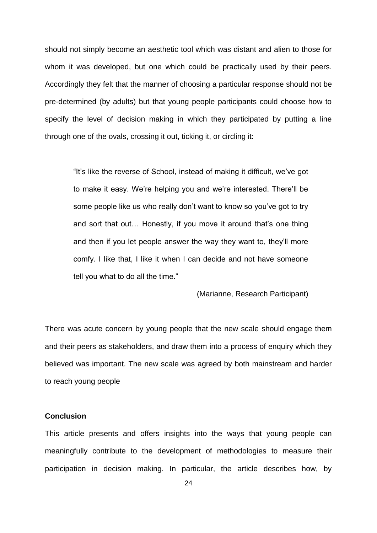should not simply become an aesthetic tool which was distant and alien to those for whom it was developed, but one which could be practically used by their peers. Accordingly they felt that the manner of choosing a particular response should not be pre-determined (by adults) but that young people participants could choose how to specify the level of decision making in which they participated by putting a line through one of the ovals, crossing it out, ticking it, or circling it:

"It's like the reverse of School, instead of making it difficult, we've got to make it easy. We're helping you and we're interested. There'll be some people like us who really don't want to know so you've got to try and sort that out… Honestly, if you move it around that's one thing and then if you let people answer the way they want to, they'll more comfy. I like that, I like it when I can decide and not have someone tell you what to do all the time."

#### (Marianne, Research Participant)

There was acute concern by young people that the new scale should engage them and their peers as stakeholders, and draw them into a process of enquiry which they believed was important. The new scale was agreed by both mainstream and harder to reach young people

#### **Conclusion**

This article presents and offers insights into the ways that young people can meaningfully contribute to the development of methodologies to measure their participation in decision making. In particular, the article describes how, by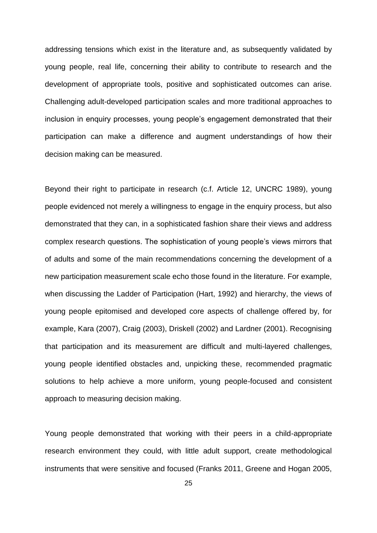addressing tensions which exist in the literature and, as subsequently validated by young people, real life, concerning their ability to contribute to research and the development of appropriate tools, positive and sophisticated outcomes can arise. Challenging adult-developed participation scales and more traditional approaches to inclusion in enquiry processes, young people's engagement demonstrated that their participation can make a difference and augment understandings of how their decision making can be measured.

Beyond their right to participate in research (c.f. Article 12, UNCRC 1989), young people evidenced not merely a willingness to engage in the enquiry process, but also demonstrated that they can, in a sophisticated fashion share their views and address complex research questions. The sophistication of young people's views mirrors that of adults and some of the main recommendations concerning the development of a new participation measurement scale echo those found in the literature. For example, when discussing the Ladder of Participation (Hart, 1992) and hierarchy, the views of young people epitomised and developed core aspects of challenge offered by, for example, Kara (2007), Craig (2003), Driskell (2002) and Lardner (2001). Recognising that participation and its measurement are difficult and multi-layered challenges, young people identified obstacles and, unpicking these, recommended pragmatic solutions to help achieve a more uniform, young people-focused and consistent approach to measuring decision making.

Young people demonstrated that working with their peers in a child-appropriate research environment they could, with little adult support, create methodological instruments that were sensitive and focused (Franks 2011, Greene and Hogan 2005,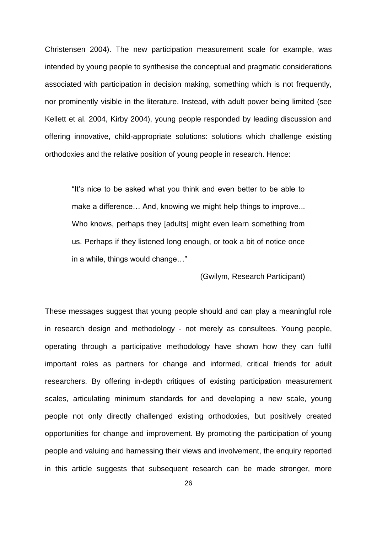Christensen 2004). The new participation measurement scale for example, was intended by young people to synthesise the conceptual and pragmatic considerations associated with participation in decision making, something which is not frequently, nor prominently visible in the literature. Instead, with adult power being limited (see Kellett et al. 2004, Kirby 2004), young people responded by leading discussion and offering innovative, child-appropriate solutions: solutions which challenge existing orthodoxies and the relative position of young people in research. Hence:

"It's nice to be asked what you think and even better to be able to make a difference… And, knowing we might help things to improve... Who knows, perhaps they [adults] might even learn something from us. Perhaps if they listened long enough, or took a bit of notice once in a while, things would change…"

(Gwilym, Research Participant)

These messages suggest that young people should and can play a meaningful role in research design and methodology - not merely as consultees. Young people, operating through a participative methodology have shown how they can fulfil important roles as partners for change and informed, critical friends for adult researchers. By offering in-depth critiques of existing participation measurement scales, articulating minimum standards for and developing a new scale, young people not only directly challenged existing orthodoxies, but positively created opportunities for change and improvement. By promoting the participation of young people and valuing and harnessing their views and involvement, the enquiry reported in this article suggests that subsequent research can be made stronger, more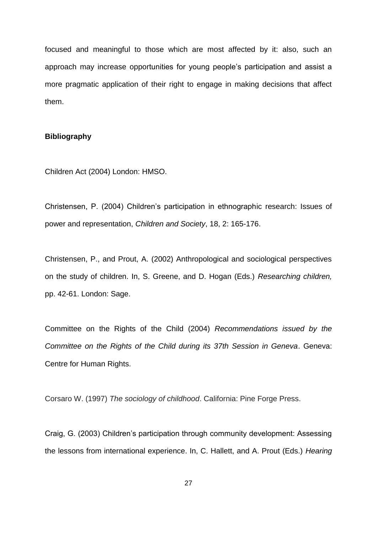focused and meaningful to those which are most affected by it: also, such an approach may increase opportunities for young people's participation and assist a more pragmatic application of their right to engage in making decisions that affect them.

#### **Bibliography**

Children Act (2004) London: HMSO.

Christensen, P. (2004) Children's participation in ethnographic research: Issues of power and representation, *Children and Society*, 18, 2: 165-176.

Christensen, P., and Prout, A. (2002) Anthropological and sociological perspectives on the study of children. In, S. Greene, and D. Hogan (Eds.) *Researching children,* pp. 42-61. London: Sage.

Committee on the Rights of the Child (2004) *Recommendations issued by the Committee on the Rights of the Child during its 37th Session in Geneva*. Geneva: Centre for Human Rights.

Corsaro W. (1997) *The sociology of childhood*. California: Pine Forge Press.

Craig, G. (2003) Children's participation through community development: Assessing the lessons from international experience. In, C. Hallett, and A. Prout (Eds.) *Hearing*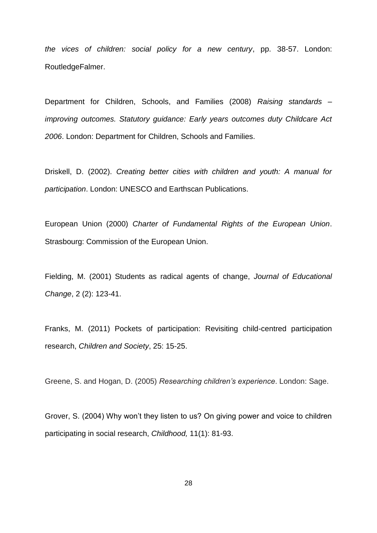*the vices of children: social policy for a new century*, pp. 38-57. London: RoutledgeFalmer.

Department for Children, Schools, and Families (2008) *Raising standards – improving outcomes. Statutory guidance: Early years outcomes duty Childcare Act 2006*. London: Department for Children, Schools and Families.

Driskell, D. (2002). *Creating better cities with children and youth: A manual for participation*. London: UNESCO and Earthscan Publications.

European Union (2000) *Charter of Fundamental Rights of the European Union*. Strasbourg: Commission of the European Union.

Fielding, M. (2001) Students as radical agents of change, *Journal of Educational Change*, 2 (2): 123-41.

Franks, M. (2011) Pockets of participation: Revisiting child-centred participation research, *Children and Society*, 25: 15-25.

Greene, S. and Hogan, D. (2005) *Researching children's experience*. London: Sage.

Grover, S. (2004) Why won't they listen to us? On giving power and voice to children participating in social research, *Childhood,* 11(1): 81-93.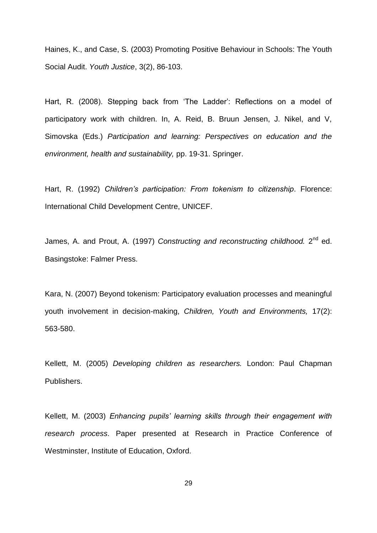Haines, K., and Case, S. (2003) Promoting Positive Behaviour in Schools: The Youth Social Audit. *Youth Justice*, 3(2), 86-103.

Hart, R. (2008). Stepping back from 'The Ladder': Reflections on a model of participatory work with children. In, A. Reid, B. Bruun Jensen, J. Nikel, and V, Simovska (Eds.) *Participation and learning: Perspectives on education and the environment, health and sustainability,* pp. 19-31. Springer.

Hart, R. (1992) *Children's participation: From tokenism to citizenship*. Florence: International Child Development Centre, UNICEF.

James, A. and Prout, A. (1997) *Constructing and reconstructing childhood.* 2<sup>nd</sup> ed. Basingstoke: Falmer Press.

Kara, N. (2007) Beyond tokenism: Participatory evaluation processes and meaningful youth involvement in decision-making, *Children, Youth and Environments,* 17(2): 563-580.

Kellett, M. (2005) *Developing children as researchers.* London: Paul Chapman Publishers.

Kellett, M. (2003) *Enhancing pupils' learning skills through their engagement with research process*. Paper presented at Research in Practice Conference of Westminster, Institute of Education, Oxford.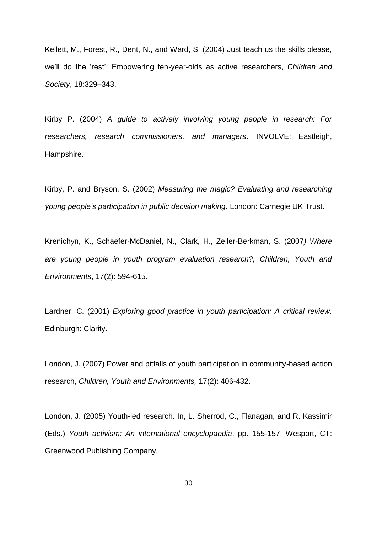Kellett, M., Forest, R., Dent, N., and Ward, S. (2004) Just teach us the skills please, we'll do the 'rest': Empowering ten-year-olds as active researchers, *Children and Society*, 18:329–343.

Kirby P. (2004) *A guide to actively involving young people in research: For researchers, research commissioners, and managers*. INVOLVE: Eastleigh, Hampshire.

Kirby, P. and Bryson, S. (2002) *Measuring the magic? Evaluating and researching young people's participation in public decision making*. London: Carnegie UK Trust.

Krenichyn, K., Schaefer-McDaniel, N., Clark, H., Zeller-Berkman, S. (2007*) Where are young people in youth program evaluation research?, Children, Youth and Environments*, 17(2): 594-615.

Lardner, C. (2001) *Exploring good practice in youth participation: A critical review.*  Edinburgh: Clarity.

London, J. (2007) Power and pitfalls of youth participation in community-based action research, *Children, Youth and Environments,* 17(2): 406-432.

London, J. (2005) Youth-led research. In, L. Sherrod, C., Flanagan, and R. Kassimir (Eds.) *Youth activism: An international encyclopaedia*, pp. 155-157. Wesport, CT: Greenwood Publishing Company.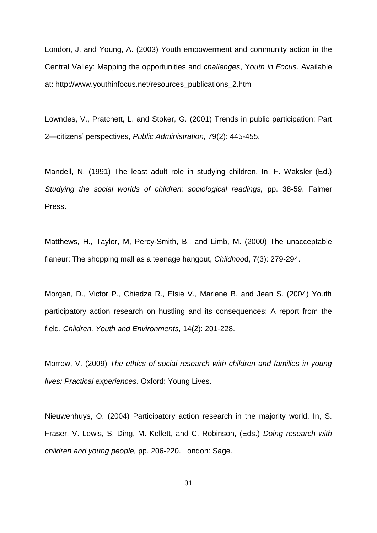London, J. and Young, A. (2003) Youth empowerment and community action in the Central Valley: Mapping the opportunities and *challenges*, Y*outh in Focus*. Available at: http://www.youthinfocus.net/resources\_publications\_2.htm

Lowndes, V., Pratchett, L. and Stoker, G. (2001) Trends in public participation: Part 2—citizens' perspectives, *Public Administration,* 79(2): 445-455.

Mandell, N. (1991) The least adult role in studying children. In, F. Waksler (Ed.) *Studying the social worlds of children: sociological readings,* pp. 38-59. Falmer Press.

Matthews, H., Taylor, M, Percy-Smith, B., and Limb, M. (2000) The unacceptable flaneur: The shopping mall as a teenage hangout, *Childhoo*d, 7(3): 279-294.

Morgan, D., Victor P., Chiedza R., Elsie V., Marlene B. and Jean S. (2004) Youth participatory action research on hustling and its consequences: A report from the field, *Children, Youth and Environments,* 14(2): 201-228.

Morrow, V. (2009) *The ethics of social research with children and families in young lives: Practical experiences*. Oxford: Young Lives.

Nieuwenhuys, O. (2004) Participatory action research in the majority world. In, S. Fraser, V. Lewis, S. Ding, M. Kellett, and C. Robinson, (Eds.) *Doing research with children and young people,* pp. 206-220. London: Sage.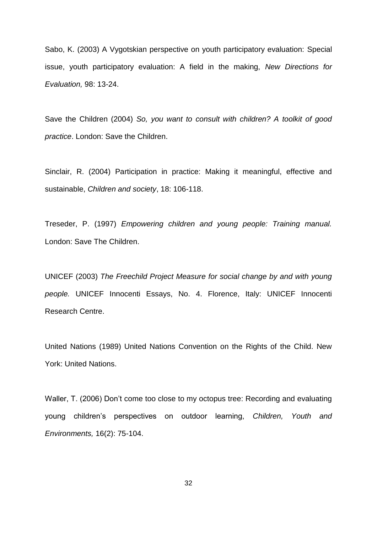Sabo, K. (2003) A Vygotskian perspective on youth participatory evaluation: Special issue, youth participatory evaluation: A field in the making, *New Directions for Evaluation,* 98: 13-24.

Save the Children (2004) *So, you want to consult with children? A toolkit of good practice*. London: Save the Children.

Sinclair, R. (2004) Participation in practice: Making it meaningful, effective and sustainable, *Children and society*, 18: 106-118.

Treseder, P. (1997) *Empowering children and young people: Training manual.* London: Save The Children.

UNICEF (2003) *The Freechild Project Measure for social change by and with young people.* UNICEF Innocenti Essays, No. 4. Florence, Italy: UNICEF Innocenti Research Centre.

United Nations (1989) United Nations Convention on the Rights of the Child. New York: United Nations.

Waller, T. (2006) Don't come too close to my octopus tree: Recording and evaluating young children's perspectives on outdoor learning, *Children, Youth and Environments,* 16(2): 75-104.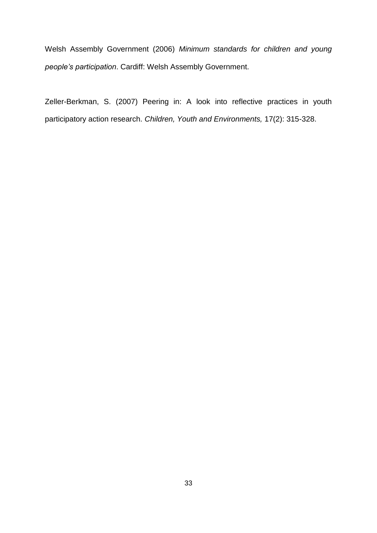Welsh Assembly Government (2006) *Minimum standards for children and young people's participation*. Cardiff: Welsh Assembly Government.

Zeller-Berkman, S. (2007) Peering in: A look into reflective practices in youth participatory action research. *Children, Youth and Environments,* 17(2): 315-328.